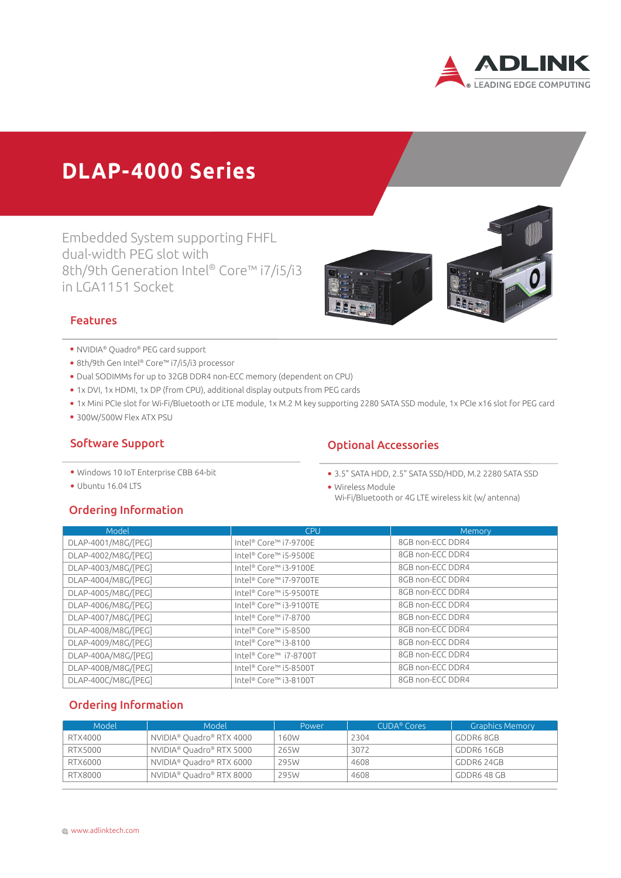

# **DLAP-4000 Series**

Embedded System supporting FHFL dual-width PEG slot with 8th/9th Generation Intel® Core™ i7/i5/i3 in LGA1151 Socket



#### Features

- � NVIDIA® Quadro® PEG card support
- � 8th/9th Gen Intel® Core™ i7/i5/i3 processor
- � Dual SODIMMs for up to 32GB DDR4 non-ECC memory (dependent on CPU)
- � 1x DVI, 1x HDMI, 1x DP (from CPU), additional display outputs from PEG cards
- � 1x Mini PCIe slot for Wi-Fi/Bluetooth or LTE module, 1x M.2 M key supporting 2280 SATA SSD module, 1x PCIe x16 slot for PEG card
- � 300W/500W Flex ATX PSU

#### Software Support

- � Windows 10 IoT Enterprise CBB 64-bit
- � Ubuntu 16.04 LTS

## Ordering Information

- Optional Accessories
- � 3.5" SATA HDD, 2.5" SATA SSD/HDD, M.2 2280 SATA SSD
- � Wireless Module
- Wi-Fi/Bluetooth or 4G LTE wireless kit (w/ antenna)

| Model               | <b>CPU</b>             | Memory           |
|---------------------|------------------------|------------------|
| DLAP-4001/M8G/[PEG] | Intel® Core™ i7-9700E  | 8GB non-ECC DDR4 |
| DLAP-4002/M8G/[PEG] | Intel® Core™ i5-9500E  | 8GB non-ECC DDR4 |
| DLAP-4003/M8G/[PEG] | Intel® Core™ i3-9100E  | 8GB non-ECC DDR4 |
| DLAP-4004/M8G/[PEG] | Intel® Core™ i7-9700TE | 8GB non-ECC DDR4 |
| DLAP-4005/M8G/[PEG] | Intel® Core™ i5-9500TE | 8GB non-ECC DDR4 |
| DLAP-4006/M8G/[PEG] | Intel® Core™ i3-9100TE | 8GB non-ECC DDR4 |
| DLAP-4007/M8G/[PEG] | Intel® Core™ i7-8700   | 8GB non-ECC DDR4 |
| DLAP-4008/M8G/[PEG] | Intel® Core™ i5-8500   | 8GB non-ECC DDR4 |
| DLAP-4009/M8G/[PEG] | Intel® Core™ i3-8100   | 8GB non-ECC DDR4 |
| DLAP-400A/M8G/[PEG] | Intel® Core™ i7-8700T  | 8GB non-ECC DDR4 |
| DLAP-400B/M8G/[PEG] | Intel® Core™ i5-8500T  | 8GB non-ECC DDR4 |
| DLAP-400C/M8G/[PEG] | Intel® Core™ i3-8100T  | 8GB non-ECC DDR4 |

### Ordering Information

| Model   | Model                                | Power | CUDA <sup>®</sup> Cores | <b>Graphics Memory</b> |
|---------|--------------------------------------|-------|-------------------------|------------------------|
| RTX4000 | NVIDIA® Quadro® RTX 4000             | 160W  | 2304                    | GDDR68GB               |
| RTX5000 | NVIDIA <sup>®</sup> Quadro® RTX 5000 | 265W  | 3072                    | GDDR6 16GB             |
| RTX6000 | NVIDIA® Quadro® RTX 6000             | 295W  | 4608                    | GDDR6 24GB             |
| RTX8000 | NVIDIA® Quadro® RTX 8000             | 295W  | 4608                    | GDDR6 48 GB            |